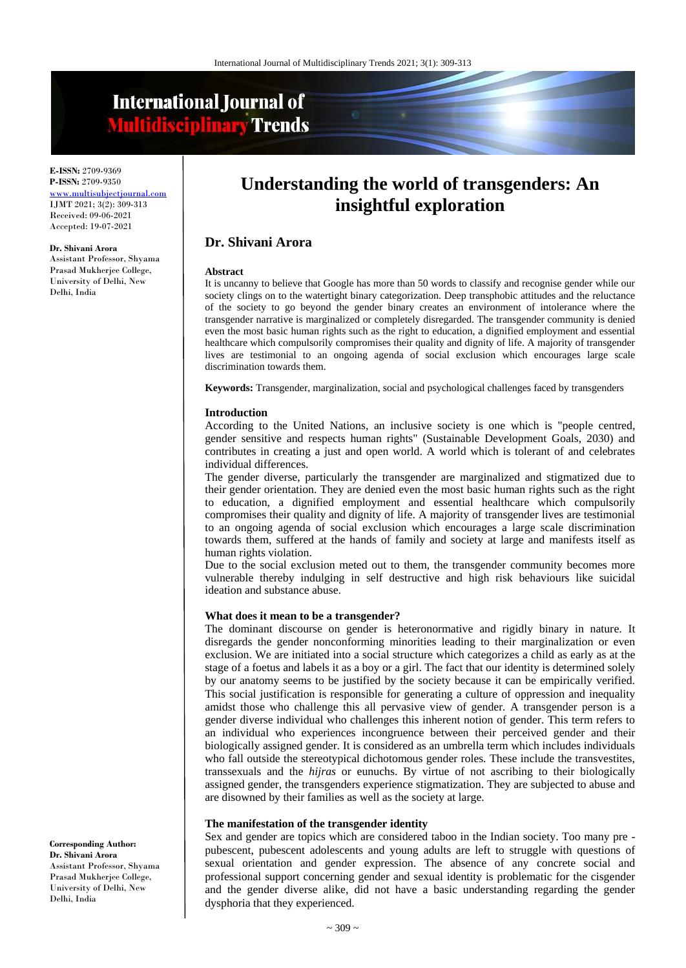# **International Journal of Multidisciplinary Trends**

**E-ISSN:** 2709-9369 **P-ISSN:** 2709-9350 [www.multisubjectjournal.com](http://www.multisubjectjournal.com/) IJMT 2021; 3(2): 309-313 Received: 09-06-2021 Accepted: 19-07-2021

#### **Dr. Shivani Arora**

Assistant Professor, Shyama Prasad Mukherjee College, University of Delhi, New Delhi, India

# **Understanding the world of transgenders: An insightful exploration**

# **Dr. Shivani Arora**

#### **Abstract**

It is uncanny to believe that Google has more than 50 words to classify and recognise gender while our society clings on to the watertight binary categorization. Deep transphobic attitudes and the reluctance of the society to go beyond the gender binary creates an environment of intolerance where the transgender narrative is marginalized or completely disregarded. The transgender community is denied even the most basic human rights such as the right to education, a dignified employment and essential healthcare which compulsorily compromises their quality and dignity of life. A majority of transgender lives are testimonial to an ongoing agenda of social exclusion which encourages large scale discrimination towards them.

**Keywords:** Transgender, marginalization, social and psychological challenges faced by transgenders

#### **Introduction**

According to the United Nations, an inclusive society is one which is "people centred, gender sensitive and respects human rights" (Sustainable Development Goals, 2030) and contributes in creating a just and open world. A world which is tolerant of and celebrates individual differences.

The gender diverse, particularly the transgender are marginalized and stigmatized due to their gender orientation. They are denied even the most basic human rights such as the right to education, a dignified employment and essential healthcare which compulsorily compromises their quality and dignity of life. A majority of transgender lives are testimonial to an ongoing agenda of social exclusion which encourages a large scale discrimination towards them, suffered at the hands of family and society at large and manifests itself as human rights violation.

Due to the social exclusion meted out to them, the transgender community becomes more vulnerable thereby indulging in self destructive and high risk behaviours like suicidal ideation and substance abuse.

#### **What does it mean to be a transgender?**

The dominant discourse on gender is heteronormative and rigidly binary in nature. It disregards the gender nonconforming minorities leading to their marginalization or even exclusion. We are initiated into a social structure which categorizes a child as early as at the stage of a foetus and labels it as a boy or a girl. The fact that our identity is determined solely by our anatomy seems to be justified by the society because it can be empirically verified. This social justification is responsible for generating a culture of oppression and inequality amidst those who challenge this all pervasive view of gender. A transgender person is a gender diverse individual who challenges this inherent notion of gender. This term refers to an individual who experiences incongruence between their perceived gender and their biologically assigned gender. It is considered as an umbrella term which includes individuals who fall outside the stereotypical dichotomous gender roles. These include the transvestites, transsexuals and the *hijras* or eunuchs. By virtue of not ascribing to their biologically assigned gender, the transgenders experience stigmatization. They are subjected to abuse and are disowned by their families as well as the society at large.

#### **The manifestation of the transgender identity**

Sex and gender are topics which are considered taboo in the Indian society. Too many pre pubescent, pubescent adolescents and young adults are left to struggle with questions of sexual orientation and gender expression. The absence of any concrete social and professional support concerning gender and sexual identity is problematic for the cisgender and the gender diverse alike, did not have a basic understanding regarding the gender dysphoria that they experienced.

#### **Corresponding Author: Dr. Shivani Arora**

Assistant Professor, Shyama Prasad Mukherjee College, University of Delhi, New Delhi, India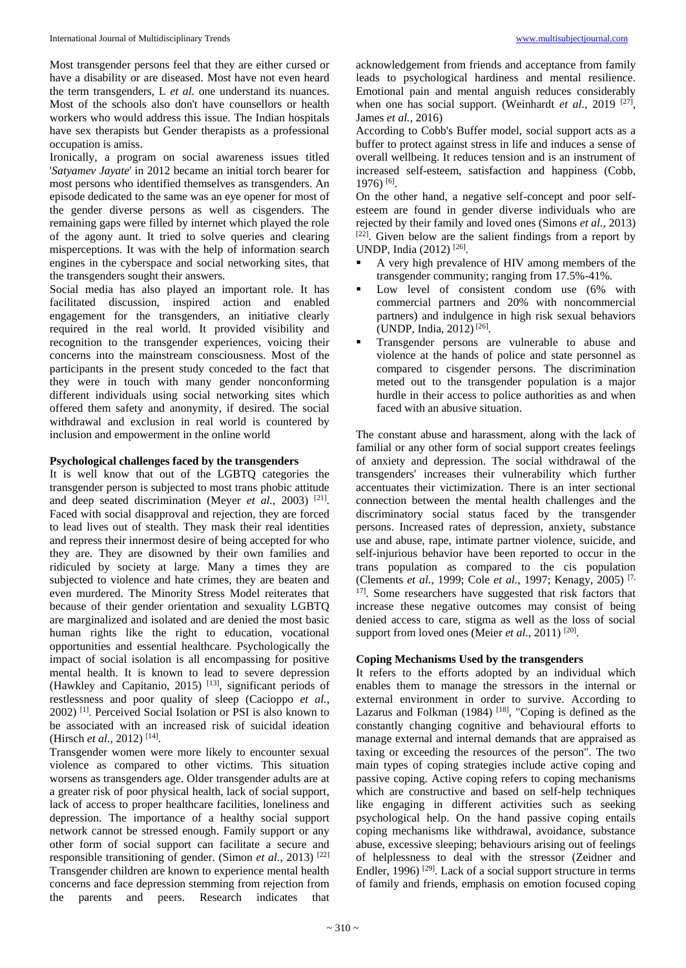Most transgender persons feel that they are either cursed or have a disability or are diseased. Most have not even heard the term transgenders, L *et al.* one understand its nuances. Most of the schools also don't have counsellors or health workers who would address this issue. The Indian hospitals have sex therapists but Gender therapists as a professional occupation is amiss.

Ironically, a program on social awareness issues titled '*Satyamev Jayate*' in 2012 became an initial torch bearer for most persons who identified themselves as transgenders. An episode dedicated to the same was an eye opener for most of the gender diverse persons as well as cisgenders. The remaining gaps were filled by internet which played the role of the agony aunt. It tried to solve queries and clearing misperceptions. It was with the help of information search engines in the cyberspace and social networking sites, that the transgenders sought their answers.

Social media has also played an important role. It has facilitated discussion, inspired action and enabled engagement for the transgenders, an initiative clearly required in the real world. It provided visibility and recognition to the transgender experiences, voicing their concerns into the mainstream consciousness. Most of the participants in the present study conceded to the fact that they were in touch with many gender nonconforming different individuals using social networking sites which offered them safety and anonymity, if desired. The social withdrawal and exclusion in real world is countered by inclusion and empowerment in the online world

# **Psychological challenges faced by the transgenders**

It is well know that out of the LGBTQ categories the transgender person is subjected to most trans phobic attitude and deep seated discrimination (Meyer *et al.*, 2003)<sup>[21]</sup>. Faced with social disapproval and rejection, they are forced to lead lives out of stealth. They mask their real identities and repress their innermost desire of being accepted for who they are. They are disowned by their own families and ridiculed by society at large. Many a times they are subjected to violence and hate crimes, they are beaten and even murdered. The Minority Stress Model reiterates that because of their gender orientation and sexuality LGBTQ are marginalized and isolated and are denied the most basic human rights like the right to education, vocational opportunities and essential healthcare. Psychologically the impact of social isolation is all encompassing for positive mental health. It is known to lead to severe depression (Hawkley and Capitanio, 2015) [13], significant periods of restlessness and poor quality of sleep (Cacioppo *et al.*, 2002) [1]. Perceived Social Isolation or PSI is also known to be associated with an increased risk of suicidal ideation (Hirsch *et al.*, 2012)<sup>[14]</sup>.

Transgender women were more likely to encounter sexual violence as compared to other victims. This situation worsens as transgenders age. Older transgender adults are at a greater risk of poor physical health, lack of social support, lack of access to proper healthcare facilities, loneliness and depression. The importance of a healthy social support network cannot be stressed enough. Family support or any other form of social support can facilitate a secure and responsible transitioning of gender. (Simon *et al.*, 2013) [22] Transgender children are known to experience mental health concerns and face depression stemming from rejection from the parents and peers. Research indicates that acknowledgement from friends and acceptance from family leads to psychological hardiness and mental resilience. Emotional pain and mental anguish reduces considerably when one has social support. (Weinhardt *et al.*, 2019<sup>[27]</sup>, James *et al.*, 2016)

According to Cobb's Buffer model, social support acts as a buffer to protect against stress in life and induces a sense of overall wellbeing. It reduces tension and is an instrument of increased self-esteem, satisfaction and happiness (Cobb, 1976) [6] .

On the other hand, a negative self-concept and poor selfesteem are found in gender diverse individuals who are rejected by their family and loved ones (Simons *et al.*, 2013) [22]. Given below are the salient findings from a report by UNDP, India (2012) [26] .

- A very high prevalence of HIV among members of the transgender community; ranging from 17.5%-41%.
- Low level of consistent condom use  $(6\%$  with commercial partners and 20% with noncommercial partners) and indulgence in high risk sexual behaviors (UNDP, India, 2012)<sup>[26]</sup>.
- Transgender persons are vulnerable to abuse and violence at the hands of police and state personnel as compared to cisgender persons. The discrimination meted out to the transgender population is a major hurdle in their access to police authorities as and when faced with an abusive situation.

The constant abuse and harassment, along with the lack of familial or any other form of social support creates feelings of anxiety and depression. The social withdrawal of the transgenders' increases their vulnerability which further accentuates their victimization. There is an inter sectional connection between the mental health challenges and the discriminatory social status faced by the transgender persons. Increased rates of depression, anxiety, substance use and abuse, rape, intimate partner violence, suicide, and self-injurious behavior have been reported to occur in the trans population as compared to the cis population (Clements *et al.*, 1999; Cole *et al.*, 1997; Kenagy, 2005) [7, 17]. Some researchers have suggested that risk factors that increase these negative outcomes may consist of being denied access to care, stigma as well as the loss of social support from loved ones (Meier et al., 2011)<sup>[20]</sup>.

# **Coping Mechanisms Used by the transgenders**

It refers to the efforts adopted by an individual which enables them to manage the stressors in the internal or external environment in order to survive. According to Lazarus and Folkman (1984)  $^{[18]}$ , "Coping is defined as the constantly changing cognitive and behavioural efforts to manage external and internal demands that are appraised as taxing or exceeding the resources of the person". The two main types of coping strategies include active coping and passive coping*.* Active coping refers to coping mechanisms which are constructive and based on self-help techniques like engaging in different activities such as seeking psychological help. On the hand passive coping entails coping mechanisms like withdrawal, avoidance, substance abuse, excessive sleeping; behaviours arising out of feelings of helplessness to deal with the stressor (Zeidner and Endler, 1996)<sup>[29]</sup>. Lack of a social support structure in terms of family and friends, emphasis on emotion focused coping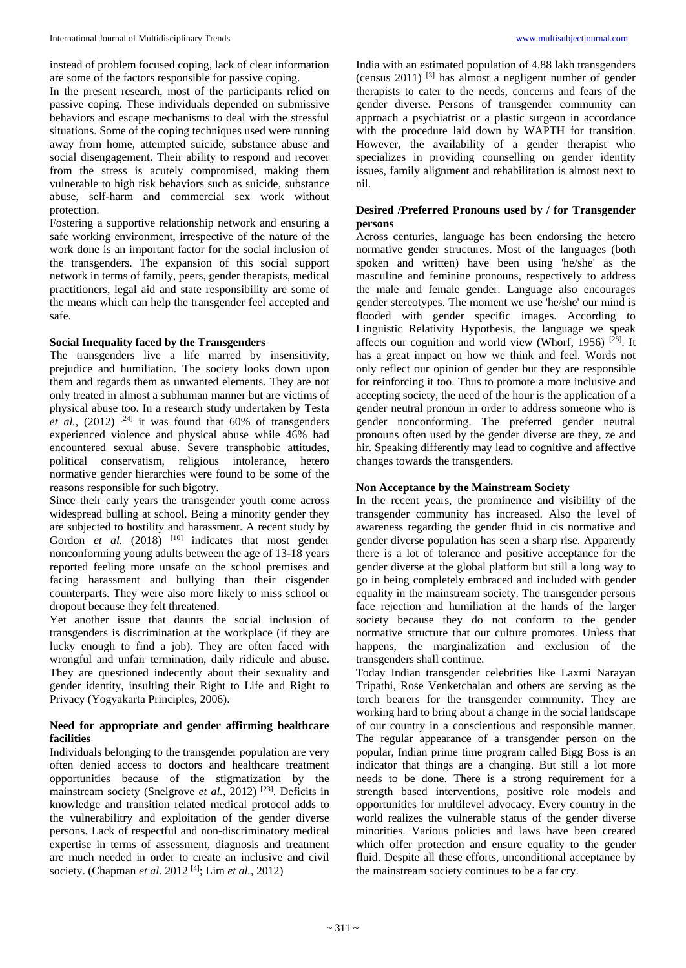instead of problem focused coping, lack of clear information are some of the factors responsible for passive coping.

In the present research, most of the participants relied on passive coping. These individuals depended on submissive behaviors and escape mechanisms to deal with the stressful situations. Some of the coping techniques used were running away from home, attempted suicide, substance abuse and social disengagement. Their ability to respond and recover from the stress is acutely compromised, making them vulnerable to high risk behaviors such as suicide, substance abuse, self-harm and commercial sex work without protection.

Fostering a supportive relationship network and ensuring a safe working environment, irrespective of the nature of the work done is an important factor for the social inclusion of the transgenders. The expansion of this social support network in terms of family, peers, gender therapists, medical practitioners, legal aid and state responsibility are some of the means which can help the transgender feel accepted and safe.

# **Social Inequality faced by the Transgenders**

The transgenders live a life marred by insensitivity, prejudice and humiliation. The society looks down upon them and regards them as unwanted elements. They are not only treated in almost a subhuman manner but are victims of physical abuse too. In a research study undertaken by Testa *et al.*, (2012) <sup>[24]</sup> it was found that  $60\%$  of transgenders experienced violence and physical abuse while 46% had encountered sexual abuse. Severe transphobic attitudes, political conservatism, religious intolerance, hetero normative gender hierarchies were found to be some of the reasons responsible for such bigotry.

Since their early years the transgender youth come across widespread bulling at school. Being a minority gender they are subjected to hostility and harassment. A recent study by Gordon *et al.* (2018) <sup>[10]</sup> indicates that most gender nonconforming young adults between the age of 13-18 years reported feeling more unsafe on the school premises and facing harassment and bullying than their cisgender counterparts. They were also more likely to miss school or dropout because they felt threatened.

Yet another issue that daunts the social inclusion of transgenders is discrimination at the workplace (if they are lucky enough to find a job). They are often faced with wrongful and unfair termination, daily ridicule and abuse. They are questioned indecently about their sexuality and gender identity, insulting their Right to Life and Right to Privacy (Yogyakarta Principles, 2006).

# **Need for appropriate and gender affirming healthcare facilities**

Individuals belonging to the transgender population are very often denied access to doctors and healthcare treatment opportunities because of the stigmatization by the mainstream society (Snelgrove *et al.*, 2012)<sup>[23]</sup>. Deficits in knowledge and transition related medical protocol adds to the vulnerabilitry and exploitation of the gender diverse persons. Lack of respectful and non-discriminatory medical expertise in terms of assessment, diagnosis and treatment are much needed in order to create an inclusive and civil society. (Chapman *et al.* 2012 [4]; Lim *et al.*, 2012)

India with an estimated population of 4.88 lakh transgenders (census  $2011$ ) <sup>[3]</sup> has almost a negligent number of gender therapists to cater to the needs, concerns and fears of the gender diverse. Persons of transgender community can approach a psychiatrist or a plastic surgeon in accordance with the procedure laid down by WAPTH for transition. However, the availability of a gender therapist who specializes in providing counselling on gender identity issues, family alignment and rehabilitation is almost next to nil.

# **Desired /Preferred Pronouns used by / for Transgender persons**

Across centuries, language has been endorsing the hetero normative gender structures. Most of the languages (both spoken and written) have been using 'he/she' as the masculine and feminine pronouns, respectively to address the male and female gender. Language also encourages gender stereotypes. The moment we use 'he/she' our mind is flooded with gender specific images. According to Linguistic Relativity Hypothesis, the language we speak affects our cognition and world view (Whorf, 1956)  $^{[28]}$ . It has a great impact on how we think and feel. Words not only reflect our opinion of gender but they are responsible for reinforcing it too. Thus to promote a more inclusive and accepting society, the need of the hour is the application of a gender neutral pronoun in order to address someone who is gender nonconforming. The preferred gender neutral pronouns often used by the gender diverse are they, ze and hir. Speaking differently may lead to cognitive and affective changes towards the transgenders.

### **Non Acceptance by the Mainstream Society**

In the recent years, the prominence and visibility of the transgender community has increased. Also the level of awareness regarding the gender fluid in cis normative and gender diverse population has seen a sharp rise. Apparently there is a lot of tolerance and positive acceptance for the gender diverse at the global platform but still a long way to go in being completely embraced and included with gender equality in the mainstream society. The transgender persons face rejection and humiliation at the hands of the larger society because they do not conform to the gender normative structure that our culture promotes. Unless that happens, the marginalization and exclusion of the transgenders shall continue.

Today Indian transgender celebrities like Laxmi Narayan Tripathi, Rose Venketchalan and others are serving as the torch bearers for the transgender community. They are working hard to bring about a change in the social landscape of our country in a conscientious and responsible manner. The regular appearance of a transgender person on the popular, Indian prime time program called Bigg Boss is an indicator that things are a changing. But still a lot more needs to be done. There is a strong requirement for a strength based interventions, positive role models and opportunities for multilevel advocacy. Every country in the world realizes the vulnerable status of the gender diverse minorities. Various policies and laws have been created which offer protection and ensure equality to the gender fluid. Despite all these efforts, unconditional acceptance by the mainstream society continues to be a far cry.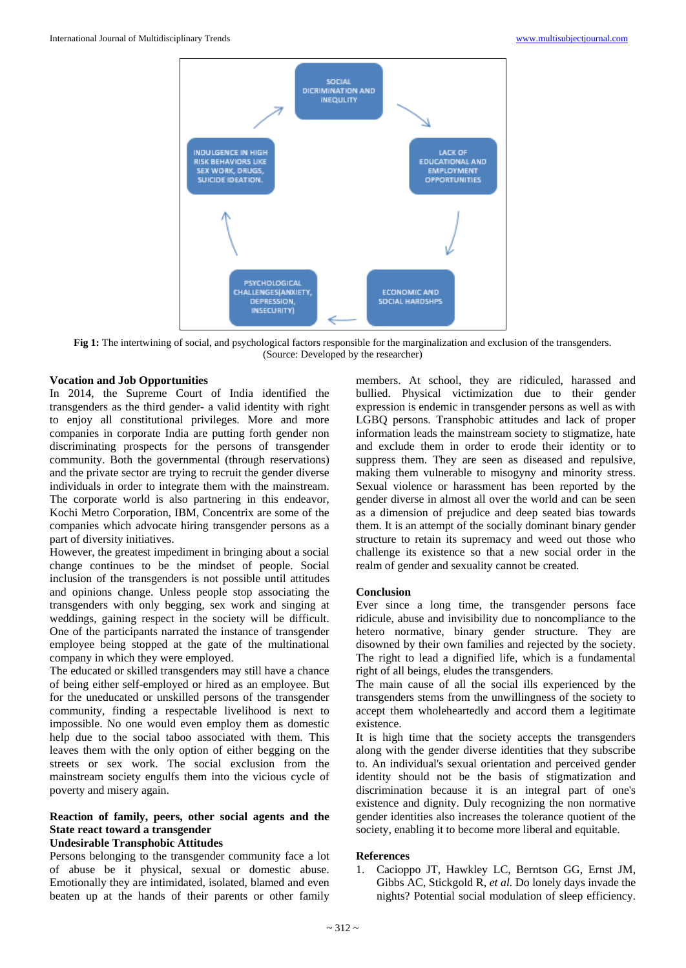

**Fig 1:** The intertwining of social, and psychological factors responsible for the marginalization and exclusion of the transgenders. (Source: Developed by the researcher)

#### **Vocation and Job Opportunities**

In 2014, the Supreme Court of India identified the transgenders as the third gender- a valid identity with right to enjoy all constitutional privileges. More and more companies in corporate India are putting forth gender non discriminating prospects for the persons of transgender community. Both the governmental (through reservations) and the private sector are trying to recruit the gender diverse individuals in order to integrate them with the mainstream. The corporate world is also partnering in this endeavor, Kochi Metro Corporation, IBM, Concentrix are some of the companies which advocate hiring transgender persons as a part of diversity initiatives.

However, the greatest impediment in bringing about a social change continues to be the mindset of people. Social inclusion of the transgenders is not possible until attitudes and opinions change. Unless people stop associating the transgenders with only begging, sex work and singing at weddings, gaining respect in the society will be difficult. One of the participants narrated the instance of transgender employee being stopped at the gate of the multinational company in which they were employed.

The educated or skilled transgenders may still have a chance of being either self-employed or hired as an employee. But for the uneducated or unskilled persons of the transgender community, finding a respectable livelihood is next to impossible. No one would even employ them as domestic help due to the social taboo associated with them. This leaves them with the only option of either begging on the streets or sex work. The social exclusion from the mainstream society engulfs them into the vicious cycle of poverty and misery again.

# **Reaction of family, peers, other social agents and the State react toward a transgender**

# **Undesirable Transphobic Attitudes**

Persons belonging to the transgender community face a lot of abuse be it physical, sexual or domestic abuse. Emotionally they are intimidated, isolated, blamed and even beaten up at the hands of their parents or other family

members. At school, they are ridiculed, harassed and bullied. Physical victimization due to their gender expression is endemic in transgender persons as well as with LGBQ persons. Transphobic attitudes and lack of proper information leads the mainstream society to stigmatize, hate and exclude them in order to erode their identity or to suppress them. They are seen as diseased and repulsive, making them vulnerable to misogyny and minority stress. Sexual violence or harassment has been reported by the gender diverse in almost all over the world and can be seen as a dimension of prejudice and deep seated bias towards them. It is an attempt of the socially dominant binary gender structure to retain its supremacy and weed out those who challenge its existence so that a new social order in the realm of gender and sexuality cannot be created.

#### **Conclusion**

Ever since a long time, the transgender persons face ridicule, abuse and invisibility due to noncompliance to the hetero normative, binary gender structure. They are disowned by their own families and rejected by the society. The right to lead a dignified life, which is a fundamental right of all beings, eludes the transgenders.

The main cause of all the social ills experienced by the transgenders stems from the unwillingness of the society to accept them wholeheartedly and accord them a legitimate existence.

It is high time that the society accepts the transgenders along with the gender diverse identities that they subscribe to. An individual's sexual orientation and perceived gender identity should not be the basis of stigmatization and discrimination because it is an integral part of one's existence and dignity. Duly recognizing the non normative gender identities also increases the tolerance quotient of the society, enabling it to become more liberal and equitable.

#### **References**

1. Cacioppo JT, Hawkley LC, Berntson GG, Ernst JM, Gibbs AC, Stickgold R, *et al.* Do lonely days invade the nights? Potential social modulation of sleep efficiency.